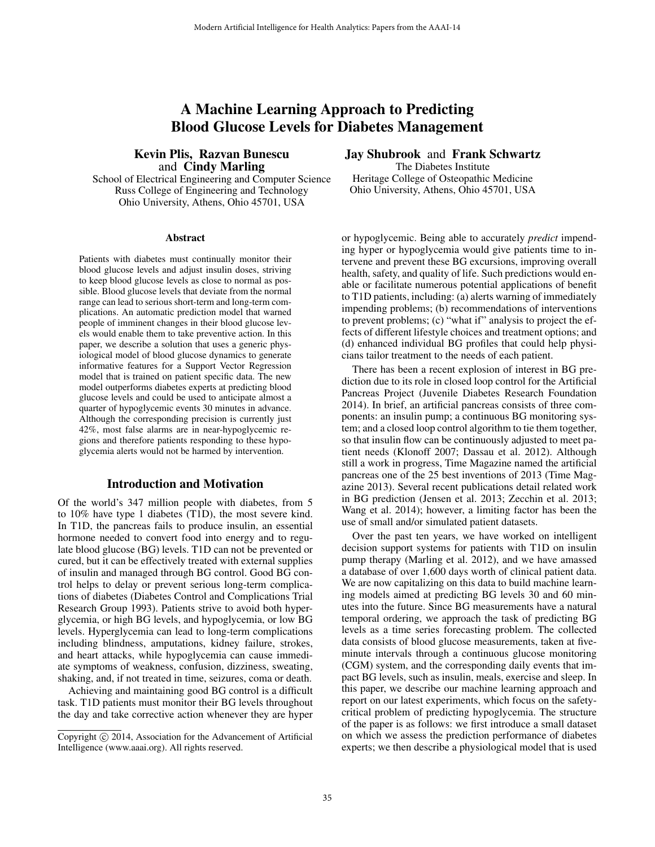# A Machine Learning Approach to Predicting Blood Glucose Levels for Diabetes Management

## Kevin Plis, Razvan Bunescu and Cindy Marling

School of Electrical Engineering and Computer Science Russ College of Engineering and Technology Ohio University, Athens, Ohio 45701, USA

#### Abstract

Patients with diabetes must continually monitor their blood glucose levels and adjust insulin doses, striving to keep blood glucose levels as close to normal as possible. Blood glucose levels that deviate from the normal range can lead to serious short-term and long-term complications. An automatic prediction model that warned people of imminent changes in their blood glucose levels would enable them to take preventive action. In this paper, we describe a solution that uses a generic physiological model of blood glucose dynamics to generate informative features for a Support Vector Regression model that is trained on patient specific data. The new model outperforms diabetes experts at predicting blood glucose levels and could be used to anticipate almost a quarter of hypoglycemic events 30 minutes in advance. Although the corresponding precision is currently just 42%, most false alarms are in near-hypoglycemic regions and therefore patients responding to these hypoglycemia alerts would not be harmed by intervention.

# Introduction and Motivation

Of the world's 347 million people with diabetes, from 5 to 10% have type 1 diabetes (T1D), the most severe kind. In T1D, the pancreas fails to produce insulin, an essential hormone needed to convert food into energy and to regulate blood glucose (BG) levels. T1D can not be prevented or cured, but it can be effectively treated with external supplies of insulin and managed through BG control. Good BG control helps to delay or prevent serious long-term complications of diabetes (Diabetes Control and Complications Trial Research Group 1993). Patients strive to avoid both hyperglycemia, or high BG levels, and hypoglycemia, or low BG levels. Hyperglycemia can lead to long-term complications including blindness, amputations, kidney failure, strokes, and heart attacks, while hypoglycemia can cause immediate symptoms of weakness, confusion, dizziness, sweating, shaking, and, if not treated in time, seizures, coma or death.

Achieving and maintaining good BG control is a difficult task. T1D patients must monitor their BG levels throughout the day and take corrective action whenever they are hyper

## Jay Shubrook and Frank Schwartz

The Diabetes Institute Heritage College of Osteopathic Medicine Ohio University, Athens, Ohio 45701, USA

or hypoglycemic. Being able to accurately *predict* impending hyper or hypoglycemia would give patients time to intervene and prevent these BG excursions, improving overall health, safety, and quality of life. Such predictions would enable or facilitate numerous potential applications of benefit to T1D patients, including: (a) alerts warning of immediately impending problems; (b) recommendations of interventions to prevent problems; (c) "what if" analysis to project the effects of different lifestyle choices and treatment options; and (d) enhanced individual BG profiles that could help physicians tailor treatment to the needs of each patient.

There has been a recent explosion of interest in BG prediction due to its role in closed loop control for the Artificial Pancreas Project (Juvenile Diabetes Research Foundation 2014). In brief, an artificial pancreas consists of three components: an insulin pump; a continuous BG monitoring system; and a closed loop control algorithm to tie them together, so that insulin flow can be continuously adjusted to meet patient needs (Klonoff 2007; Dassau et al. 2012). Although still a work in progress, Time Magazine named the artificial pancreas one of the 25 best inventions of 2013 (Time Magazine 2013). Several recent publications detail related work in BG prediction (Jensen et al. 2013; Zecchin et al. 2013; Wang et al. 2014); however, a limiting factor has been the use of small and/or simulated patient datasets.

Over the past ten years, we have worked on intelligent decision support systems for patients with T1D on insulin pump therapy (Marling et al. 2012), and we have amassed a database of over 1,600 days worth of clinical patient data. We are now capitalizing on this data to build machine learning models aimed at predicting BG levels 30 and 60 minutes into the future. Since BG measurements have a natural temporal ordering, we approach the task of predicting BG levels as a time series forecasting problem. The collected data consists of blood glucose measurements, taken at fiveminute intervals through a continuous glucose monitoring (CGM) system, and the corresponding daily events that impact BG levels, such as insulin, meals, exercise and sleep. In this paper, we describe our machine learning approach and report on our latest experiments, which focus on the safetycritical problem of predicting hypoglycemia. The structure of the paper is as follows: we first introduce a small dataset on which we assess the prediction performance of diabetes experts; we then describe a physiological model that is used

Copyright © 2014, Association for the Advancement of Artificial Intelligence (www.aaai.org). All rights reserved.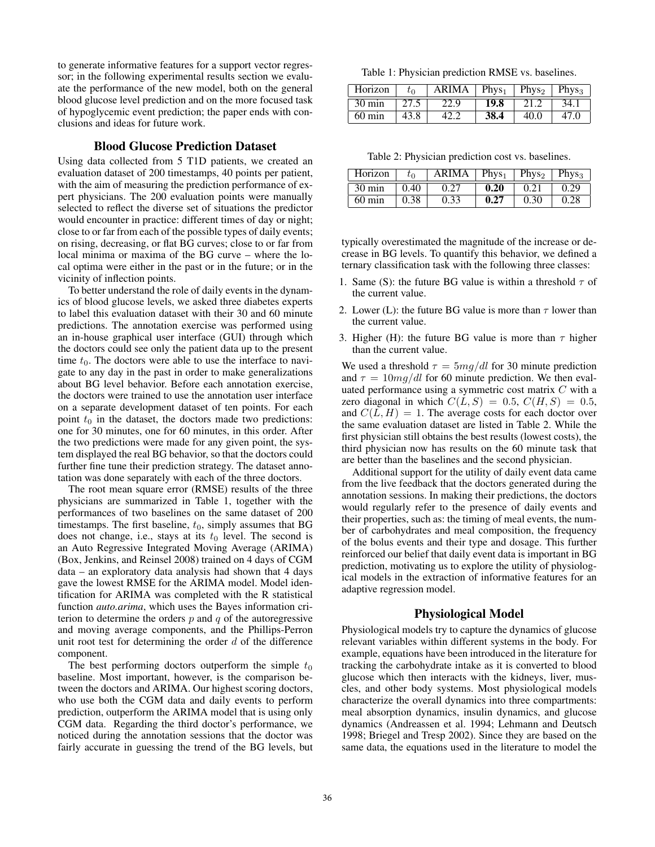to generate informative features for a support vector regressor; in the following experimental results section we evaluate the performance of the new model, both on the general blood glucose level prediction and on the more focused task of hypoglycemic event prediction; the paper ends with conclusions and ideas for future work.

## Blood Glucose Prediction Dataset

Using data collected from 5 T1D patients, we created an evaluation dataset of 200 timestamps, 40 points per patient, with the aim of measuring the prediction performance of expert physicians. The 200 evaluation points were manually selected to reflect the diverse set of situations the predictor would encounter in practice: different times of day or night; close to or far from each of the possible types of daily events; on rising, decreasing, or flat BG curves; close to or far from local minima or maxima of the BG curve – where the local optima were either in the past or in the future; or in the vicinity of inflection points.

To better understand the role of daily events in the dynamics of blood glucose levels, we asked three diabetes experts to label this evaluation dataset with their 30 and 60 minute predictions. The annotation exercise was performed using an in-house graphical user interface (GUI) through which the doctors could see only the patient data up to the present time  $t_0$ . The doctors were able to use the interface to navigate to any day in the past in order to make generalizations about BG level behavior. Before each annotation exercise, the doctors were trained to use the annotation user interface on a separate development dataset of ten points. For each point  $t_0$  in the dataset, the doctors made two predictions: one for 30 minutes, one for 60 minutes, in this order. After the two predictions were made for any given point, the system displayed the real BG behavior, so that the doctors could further fine tune their prediction strategy. The dataset annotation was done separately with each of the three doctors.

The root mean square error (RMSE) results of the three physicians are summarized in Table 1, together with the performances of two baselines on the same dataset of 200 timestamps. The first baseline,  $t_0$ , simply assumes that BG does not change, i.e., stays at its  $t_0$  level. The second is an Auto Regressive Integrated Moving Average (ARIMA) (Box, Jenkins, and Reinsel 2008) trained on 4 days of CGM data – an exploratory data analysis had shown that 4 days gave the lowest RMSE for the ARIMA model. Model identification for ARIMA was completed with the R statistical function *auto.arima*, which uses the Bayes information criterion to determine the orders  $p$  and  $q$  of the autoregressive and moving average components, and the Phillips-Perron unit root test for determining the order  $d$  of the difference component.

The best performing doctors outperform the simple  $t_0$ baseline. Most important, however, is the comparison between the doctors and ARIMA. Our highest scoring doctors, who use both the CGM data and daily events to perform prediction, outperform the ARIMA model that is using only CGM data. Regarding the third doctor's performance, we noticed during the annotation sessions that the doctor was fairly accurate in guessing the trend of the BG levels, but

Table 1: Physician prediction RMSE vs. baselines.

| Horizon          | $t_{\sf 0}$ | <b>ARIMA</b> | Phys <sub>1</sub> | Phys <sub>2</sub> | Phys <sub>3</sub> |
|------------------|-------------|--------------|-------------------|-------------------|-------------------|
| $30 \text{ min}$ |             | 22.9         | 19.8              | 21.2              | 34.1              |
| $60 \text{ min}$ | 43.8        |              | 38.4              | 40.0              | 47 O              |

Table 2: Physician prediction cost vs. baselines.

| Horizon          |      | ARIMA | Phys <sub>1</sub> | Phys <sub>2</sub> | Phys <sub>3</sub> |
|------------------|------|-------|-------------------|-------------------|-------------------|
| $30 \text{ min}$ | 0.40 |       | 0.20              |                   | 29                |
| 60 min           | 0.38 | 0.33  | 0.27              | ).30              |                   |

typically overestimated the magnitude of the increase or decrease in BG levels. To quantify this behavior, we defined a ternary classification task with the following three classes:

- 1. Same (S): the future BG value is within a threshold  $\tau$  of the current value.
- 2. Lower (L): the future BG value is more than  $\tau$  lower than the current value.
- 3. Higher (H): the future BG value is more than  $\tau$  higher than the current value.

We used a threshold  $\tau = 5mq/dl$  for 30 minute prediction and  $\tau = 10 \frac{mq}{dl}$  for 60 minute prediction. We then evaluated performance using a symmetric cost matrix C with a zero diagonal in which  $C(L, S) = 0.5, C(H, S) = 0.5$ , and  $C(L, H) = 1$ . The average costs for each doctor over the same evaluation dataset are listed in Table 2. While the first physician still obtains the best results (lowest costs), the third physician now has results on the 60 minute task that are better than the baselines and the second physician.

Additional support for the utility of daily event data came from the live feedback that the doctors generated during the annotation sessions. In making their predictions, the doctors would regularly refer to the presence of daily events and their properties, such as: the timing of meal events, the number of carbohydrates and meal composition, the frequency of the bolus events and their type and dosage. This further reinforced our belief that daily event data is important in BG prediction, motivating us to explore the utility of physiological models in the extraction of informative features for an adaptive regression model.

## Physiological Model

Physiological models try to capture the dynamics of glucose relevant variables within different systems in the body. For example, equations have been introduced in the literature for tracking the carbohydrate intake as it is converted to blood glucose which then interacts with the kidneys, liver, muscles, and other body systems. Most physiological models characterize the overall dynamics into three compartments: meal absorption dynamics, insulin dynamics, and glucose dynamics (Andreassen et al. 1994; Lehmann and Deutsch 1998; Briegel and Tresp 2002). Since they are based on the same data, the equations used in the literature to model the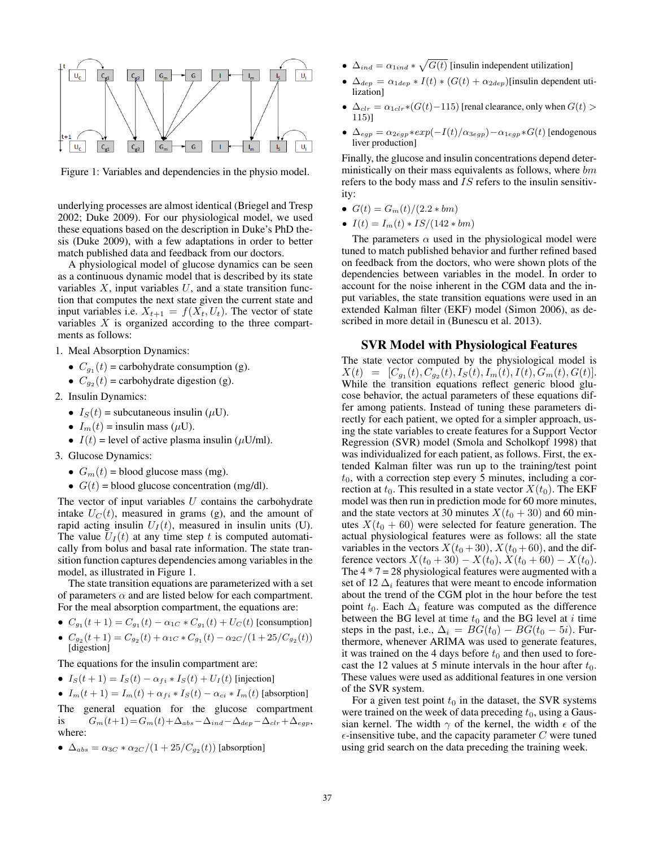

Figure 1: Variables and dependencies in the physio model.

underlying processes are almost identical (Briegel and Tresp 2002; Duke 2009). For our physiological model, we used these equations based on the description in Duke's PhD thesis (Duke 2009), with a few adaptations in order to better match published data and feedback from our doctors.

A physiological model of glucose dynamics can be seen as a continuous dynamic model that is described by its state variables  $X$ , input variables  $U$ , and a state transition function that computes the next state given the current state and input variables i.e.  $X_{t+1} = f(X_t, U_t)$ . The vector of state variables  $X$  is organized according to the three compartments as follows:

- 1. Meal Absorption Dynamics:
	- $C_{g_1}(t)$  = carbohydrate consumption (g).
	- $C_{g_2}(t)$  = carbohydrate digestion (g).
- 2. Insulin Dynamics:
	- $I_S(t)$  = subcutaneous insulin ( $\mu$ U).
	- $I_m(t)$  = insulin mass ( $\mu$ U).
	- $I(t)$  = level of active plasma insulin ( $\mu$ U/ml).
- 3. Glucose Dynamics:
	- $G_m(t)$  = blood glucose mass (mg).
	- $G(t)$  = blood glucose concentration (mg/dl).

The vector of input variables  $U$  contains the carbohydrate intake  $U_C(t)$ , measured in grams (g), and the amount of rapid acting insulin  $U_I(t)$ , measured in insulin units (U). The value  $U_I(t)$  at any time step t is computed automatically from bolus and basal rate information. The state transition function captures dependencies among variables in the model, as illustrated in Figure 1.

The state transition equations are parameterized with a set of parameters  $\alpha$  and are listed below for each compartment. For the meal absorption compartment, the equations are:

- $C_{g_1}(t+1) = C_{g_1}(t) \alpha_{1C} * C_{g_1}(t) + U_C(t)$  [consumption]
- $C_{g_2}(t+1) = C_{g_2}(t) + \alpha_{1C} * C_{g_1}(t) \alpha_{2C}/(1+25/C_{g_2}(t))$ [digestion]

The equations for the insulin compartment are:

•  $I_S(t+1) = I_S(t) - \alpha_{fi} * I_S(t) + U_I(t)$  [injection]

• 
$$
I_m(t+1) = I_m(t) + \alpha_{fi} * I_S(t) - \alpha_{ci} * I_m(t)
$$
 [absorption]

The general equation for the glucose compartment is  $G_m(t+1)=G_m(t)+\Delta_{abs}-\Delta_{ind}-\Delta_{dep}-\Delta_{clr}+\Delta_{egp},$ where:

•  $\Delta_{abs} = \alpha_{3C} * \alpha_{2C}/(1 + 25/C_{g_2}(t))$  [absorption]

- $\Delta_{ind} = \alpha_{1ind} * \sqrt{G(t)}$  [insulin independent utilization]
- $\Delta_{dep} = \alpha_{1dep} * I(t) * (G(t) + \alpha_{2dep})$ [insulin dependent utilization]
- $\Delta_{clr} = \alpha_{1clr} * (G(t) 115)$  [renal clearance, only when  $G(t)$  > 115)]
- $\Delta_{egp} = \alpha_{2egp} * exp(-I(t)/\alpha_{3egp}) \alpha_{1egp} * G(t)$  [endogenous liver production]

Finally, the glucose and insulin concentrations depend deterministically on their mass equivalents as follows, where bm refers to the body mass and  $\overline{IS}$  refers to the insulin sensitivity:

- $G(t) = G_m(t)/(2.2 * bm)$
- $I(t) = I_m(t) * IS/(142 * bm)$

The parameters  $\alpha$  used in the physiological model were tuned to match published behavior and further refined based on feedback from the doctors, who were shown plots of the dependencies between variables in the model. In order to account for the noise inherent in the CGM data and the input variables, the state transition equations were used in an extended Kalman filter (EKF) model (Simon 2006), as described in more detail in (Bunescu et al. 2013).

## SVR Model with Physiological Features

The state vector computed by the physiological model is  $X(t) = [C_{g_1}(t), C_{g_2}(t), I_S(t), I_m(t), I(t), G_m(t), G(t)].$ While the transition equations reflect generic blood glucose behavior, the actual parameters of these equations differ among patients. Instead of tuning these parameters directly for each patient, we opted for a simpler approach, using the state variables to create features for a Support Vector Regression (SVR) model (Smola and Scholkopf 1998) that was individualized for each patient, as follows. First, the extended Kalman filter was run up to the training/test point  $t_0$ , with a correction step every 5 minutes, including a correction at  $t_0$ . This resulted in a state vector  $X(t_0)$ . The EKF model was then run in prediction mode for 60 more minutes, and the state vectors at 30 minutes  $X(t_0 + 30)$  and 60 minutes  $X(t_0 + 60)$  were selected for feature generation. The actual physiological features were as follows: all the state variables in the vectors  $X(t_0 + 30)$ ,  $X(t_0 + 60)$ , and the difference vectors  $X(t_0 + 30) - X(t_0)$ ,  $X(t_0 + 60) - X(t_0)$ . The  $4 * 7 = 28$  physiological features were augmented with a set of 12  $\Delta_i$  features that were meant to encode information about the trend of the CGM plot in the hour before the test point  $t_0$ . Each  $\Delta_i$  feature was computed as the difference between the BG level at time  $t_0$  and the BG level at i time steps in the past, i.e.,  $\Delta_i = BG(t_0) - BG(t_0 - 5i)$ . Furthermore, whenever ARIMA was used to generate features, it was trained on the 4 days before  $t_0$  and then used to forecast the 12 values at 5 minute intervals in the hour after  $t_0$ . These values were used as additional features in one version of the SVR system.

For a given test point  $t_0$  in the dataset, the SVR systems were trained on the week of data preceding  $t_0$ , using a Gaussian kernel. The width  $\gamma$  of the kernel, the width  $\epsilon$  of the  $\epsilon$ -insensitive tube, and the capacity parameter C were tuned using grid search on the data preceding the training week.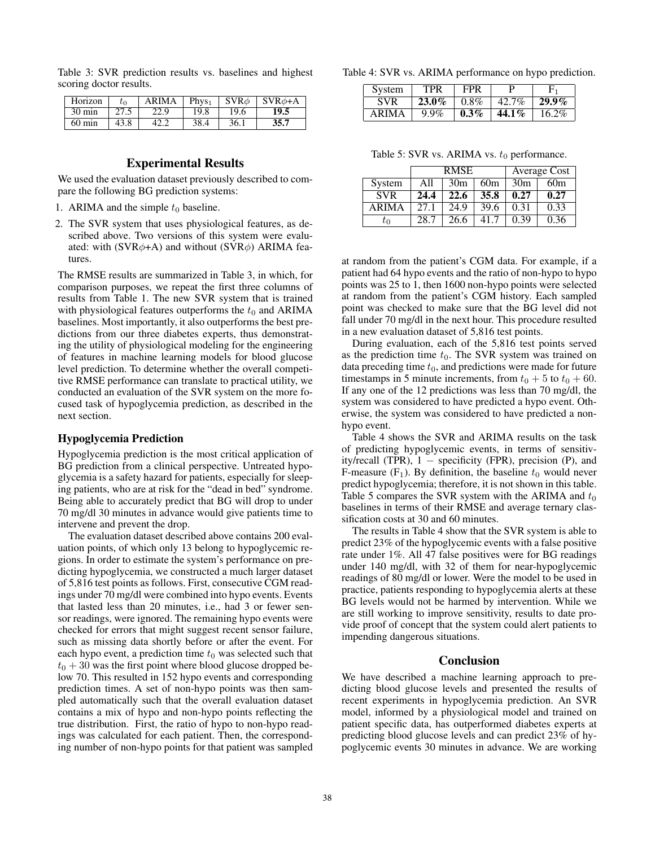| Table 3: SVR prediction results vs. baselines and highest |  |  |  |
|-----------------------------------------------------------|--|--|--|
| scoring doctor results.                                   |  |  |  |

| Horizon          | $t_{0}$ | <b>ARIMA</b> | Phys <sub>1</sub> | $SVR\phi$ | $\vert$ SVR $\phi$ +A |
|------------------|---------|--------------|-------------------|-----------|-----------------------|
| $30 \text{ min}$ | 27.5    | 22.9         | 19.8              | 19.6      | 19.5                  |
| $60 \text{ min}$ | 43.8    |              | 38.4              | 36.1      | 35.7                  |

## Experimental Results

We used the evaluation dataset previously described to compare the following BG prediction systems:

- 1. ARIMA and the simple  $t_0$  baseline.
- 2. The SVR system that uses physiological features, as described above. Two versions of this system were evaluated: with (SVR $\phi$ +A) and without (SVR $\phi$ ) ARIMA features.

The RMSE results are summarized in Table 3, in which, for comparison purposes, we repeat the first three columns of results from Table 1. The new SVR system that is trained with physiological features outperforms the  $t_0$  and ARIMA baselines. Most importantly, it also outperforms the best predictions from our three diabetes experts, thus demonstrating the utility of physiological modeling for the engineering of features in machine learning models for blood glucose level prediction. To determine whether the overall competitive RMSE performance can translate to practical utility, we conducted an evaluation of the SVR system on the more focused task of hypoglycemia prediction, as described in the next section.

#### Hypoglycemia Prediction

Hypoglycemia prediction is the most critical application of BG prediction from a clinical perspective. Untreated hypoglycemia is a safety hazard for patients, especially for sleeping patients, who are at risk for the "dead in bed" syndrome. Being able to accurately predict that BG will drop to under 70 mg/dl 30 minutes in advance would give patients time to intervene and prevent the drop.

The evaluation dataset described above contains 200 evaluation points, of which only 13 belong to hypoglycemic regions. In order to estimate the system's performance on predicting hypoglycemia, we constructed a much larger dataset of 5,816 test points as follows. First, consecutive CGM readings under 70 mg/dl were combined into hypo events. Events that lasted less than 20 minutes, i.e., had 3 or fewer sensor readings, were ignored. The remaining hypo events were checked for errors that might suggest recent sensor failure, such as missing data shortly before or after the event. For each hypo event, a prediction time  $t_0$  was selected such that  $t_0 + 30$  was the first point where blood glucose dropped below 70. This resulted in 152 hypo events and corresponding prediction times. A set of non-hypo points was then sampled automatically such that the overall evaluation dataset contains a mix of hypo and non-hypo points reflecting the true distribution. First, the ratio of hypo to non-hypo readings was calculated for each patient. Then, the corresponding number of non-hypo points for that patient was sampled Table 4: SVR vs. ARIMA performance on hypo prediction.

| System     | TPR      | FPR     |          |          |
|------------|----------|---------|----------|----------|
| <b>SVR</b> | $23.0\%$ | $0.8\%$ | 42.7%    | $29.9\%$ |
| ARIMA      | $9.9\%$  | $0.3\%$ | $44.1\%$ | $16.2\%$ |

Table 5: SVR vs. ARIMA vs.  $t_0$  performance.

|              | <b>RMSE</b> |                 |      | Average Cost    |      |  |
|--------------|-------------|-----------------|------|-----------------|------|--|
| System       | A11         | 30 <sub>m</sub> | 60m  | 30 <sub>m</sub> | 60m  |  |
| <b>SVR</b>   | 24.4        | 22.6            | 35.8 | 0.27            | 0.27 |  |
| <b>ARIMA</b> | 27.1        | 24.9            | 39.6 | 0.31            | 0.33 |  |
| tη           | 28.7        | 26.6            | 41.7 | 0.39            | 0.36 |  |

at random from the patient's CGM data. For example, if a patient had 64 hypo events and the ratio of non-hypo to hypo points was 25 to 1, then 1600 non-hypo points were selected at random from the patient's CGM history. Each sampled point was checked to make sure that the BG level did not fall under 70 mg/dl in the next hour. This procedure resulted in a new evaluation dataset of 5,816 test points.

During evaluation, each of the 5,816 test points served as the prediction time  $t_0$ . The SVR system was trained on data preceding time  $t_0$ , and predictions were made for future timestamps in 5 minute increments, from  $t_0 + 5$  to  $t_0 + 60$ . If any one of the 12 predictions was less than 70 mg/dl, the system was considered to have predicted a hypo event. Otherwise, the system was considered to have predicted a nonhypo event.

Table 4 shows the SVR and ARIMA results on the task of predicting hypoglycemic events, in terms of sensitivity/recall (TPR),  $1$  – specificity (FPR), precision (P), and F-measure  $(F_1)$ . By definition, the baseline  $t_0$  would never predict hypoglycemia; therefore, it is not shown in this table. Table 5 compares the SVR system with the ARIMA and  $t_0$ baselines in terms of their RMSE and average ternary classification costs at 30 and 60 minutes.

The results in Table 4 show that the SVR system is able to predict 23% of the hypoglycemic events with a false positive rate under 1%. All 47 false positives were for BG readings under 140 mg/dl, with 32 of them for near-hypoglycemic readings of 80 mg/dl or lower. Were the model to be used in practice, patients responding to hypoglycemia alerts at these BG levels would not be harmed by intervention. While we are still working to improve sensitivity, results to date provide proof of concept that the system could alert patients to impending dangerous situations.

## Conclusion

We have described a machine learning approach to predicting blood glucose levels and presented the results of recent experiments in hypoglycemia prediction. An SVR model, informed by a physiological model and trained on patient specific data, has outperformed diabetes experts at predicting blood glucose levels and can predict 23% of hypoglycemic events 30 minutes in advance. We are working